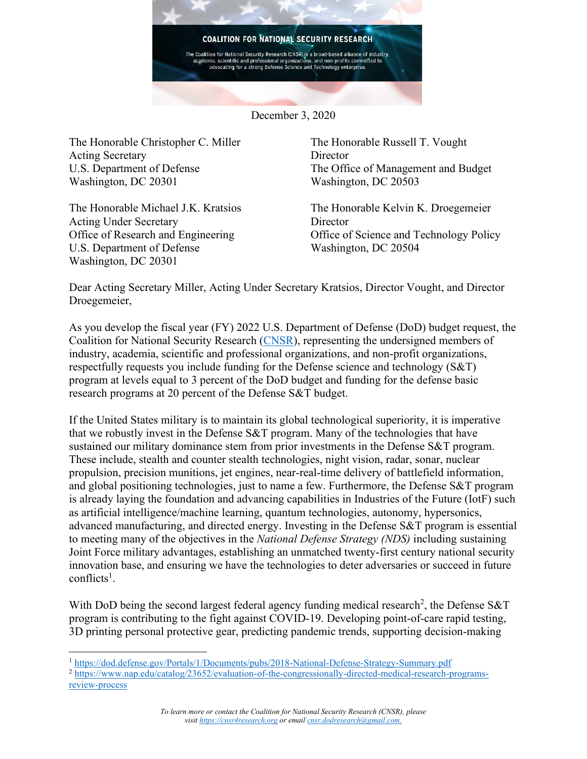

December 3, 2020

The Honorable Christopher C. Miller Acting Secretary U.S. Department of Defense Washington, DC 20301

The Honorable Michael J.K. Kratsios Acting Under Secretary Office of Research and Engineering U.S. Department of Defense Washington, DC 20301

The Honorable Russell T. Vought **Director** The Office of Management and Budget Washington, DC 20503

The Honorable Kelvin K. Droegemeier **Director** Office of Science and Technology Policy Washington, DC 20504

Dear Acting Secretary Miller, Acting Under Secretary Kratsios, Director Vought, and Director Droegemeier,

As you develop the fiscal year (FY) 2022 U.S. Department of Defense (DoD) budget request, the Coalition for National Security Research [\(CNSR\)](https://cnsr4research.org/), representing the undersigned members of industry, academia, scientific and professional organizations, and non-profit organizations, respectfully requests you include funding for the Defense science and technology (S&T) program at levels equal to 3 percent of the DoD budget and funding for the defense basic research programs at 20 percent of the Defense S&T budget.

If the United States military is to maintain its global technological superiority, it is imperative that we robustly invest in the Defense S&T program. Many of the technologies that have sustained our military dominance stem from prior investments in the Defense S&T program. These include, stealth and counter stealth technologies, night vision, radar, sonar, nuclear propulsion, precision munitions, jet engines, near-real-time delivery of battlefield information, and global positioning technologies, just to name a few. Furthermore, the Defense S&T program is already laying the foundation and advancing capabilities in Industries of the Future (IotF) such as artificial intelligence/machine learning, quantum technologies, autonomy, hypersonics, advanced manufacturing, and directed energy. Investing in the Defense S&T program is essential to meeting many of the objectives in the *National Defense Strategy (NDS)* including sustaining Joint Force military advantages, establishing an unmatched twenty-first century national security innovation base, and ensuring we have the technologies to deter adversaries or succeed in future conflicts<sup>1</sup>.

With DoD being the second largest federal agency funding medical research<sup>2</sup>, the Defense S&T program is contributing to the fight against COVID-19. Developing point-of-care rapid testing, 3D printing personal protective gear, predicting pandemic trends, supporting decision-making

<sup>1</sup> <https://dod.defense.gov/Portals/1/Documents/pubs/2018-National-Defense-Strategy-Summary.pdf>

<sup>&</sup>lt;sup>2</sup> [https://www.nap.edu/catalog/23652/evaluation-of-the-congressionally-directed-medical-research-programs](https://www.nap.edu/catalog/23652/evaluation-of-the-congressionally-directed-medical-research-programs-review-process)[review-process](https://www.nap.edu/catalog/23652/evaluation-of-the-congressionally-directed-medical-research-programs-review-process)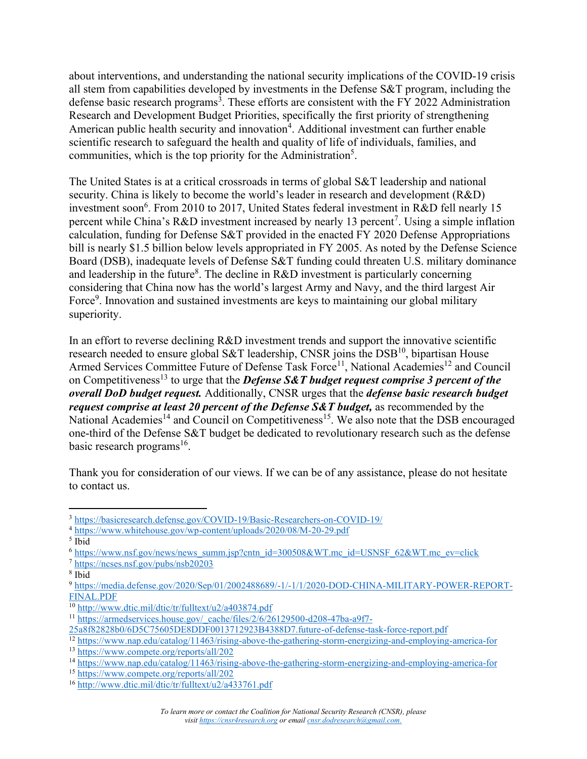about interventions, and understanding the national security implications of the COVID-19 crisis all stem from capabilities developed by investments in the Defense S&T program, including the defense basic research programs<sup>3</sup>. These efforts are consistent with the FY 2022 Administration Research and Development Budget Priorities, specifically the first priority of strengthening American public health security and innovation<sup>4</sup>. Additional investment can further enable scientific research to safeguard the health and quality of life of individuals, families, and communities, which is the top priority for the Administration<sup>5</sup>.

The United States is at a critical crossroads in terms of global S&T leadership and national security. China is likely to become the world's leader in research and development (R&D) investment soon<sup>6</sup>. From 2010 to 2017, United States federal investment in R&D fell nearly 15 percent while China's R&D investment increased by nearly 13 percent<sup>7</sup>. Using a simple inflation calculation, funding for Defense S&T provided in the enacted FY 2020 Defense Appropriations bill is nearly \$1.5 billion below levels appropriated in FY 2005. As noted by the Defense Science Board (DSB), inadequate levels of Defense S&T funding could threaten U.S. military dominance and leadership in the future<sup>8</sup>. The decline in R&D investment is particularly concerning considering that China now has the world's largest Army and Navy, and the third largest Air Force<sup>9</sup>. Innovation and sustained investments are keys to maintaining our global military superiority.

In an effort to reverse declining R&D investment trends and support the innovative scientific research needed to ensure global S&T leadership, CNSR joins the  $\text{DSB}^{10}$ , bipartisan House Armed Services Committee Future of Defense Task Force<sup>11</sup>, National Academies<sup>12</sup> and Council on Competitiveness<sup>13</sup> to urge that the *Defense S&T budget request comprise 3 percent of the overall DoD budget request.* Additionally, CNSR urges that the *defense basic research budget request comprise at least 20 percent of the Defense S&T budget, as recommended by the* National Academies<sup>14</sup> and Council on Competitiveness<sup>15</sup>. We also note that the DSB encouraged one-third of the Defense S&T budget be dedicated to revolutionary research such as the defense basic research programs<sup>16</sup>.

Thank you for consideration of our views. If we can be of any assistance, please do not hesitate to contact us.

<sup>3</sup> <https://basicresearch.defense.gov/COVID-19/Basic-Researchers-on-COVID-19/>

<sup>4</sup> <https://www.whitehouse.gov/wp-content/uploads/2020/08/M-20-29.pdf>

<sup>5</sup> Ibid

<sup>6</sup> [https://www.nsf.gov/news/news\\_summ.jsp?cntn\\_id=300508&WT.mc\\_id=USNSF\\_62&WT.mc\\_ev=click](https://www.nsf.gov/news/news_summ.jsp?cntn_id=300508&WT.mc_id=USNSF_62&WT.mc_ev=click)

<sup>7</sup> <https://ncses.nsf.gov/pubs/nsb20203>

<sup>8</sup> Ibid

<sup>9</sup> [https://media.defense.gov/2020/Sep/01/2002488689/-1/-1/1/2020-DOD-CHINA-MILITARY-POWER-REPORT-](https://media.defense.gov/2020/Sep/01/2002488689/-1/-1/1/2020-DOD-CHINA-MILITARY-POWER-REPORT-FINAL.PDF)[FINAL.PDF](https://media.defense.gov/2020/Sep/01/2002488689/-1/-1/1/2020-DOD-CHINA-MILITARY-POWER-REPORT-FINAL.PDF)

 $\frac{10 \text{ http://www.dtic.mil/dtic/tr/fulltext/u2/a403874.pdf}}{10 \text{ http://www.dtic.mil/dtic/tr/fulltext/u2/a403874.pdf}}$  $\frac{10 \text{ http://www.dtic.mil/dtic/tr/fulltext/u2/a403874.pdf}}{10 \text{ http://www.dtic.mil/dtic/tr/fulltext/u2/a403874.pdf}}$  $\frac{10 \text{ http://www.dtic.mil/dtic/tr/fulltext/u2/a403874.pdf}}{10 \text{ http://www.dtic.mil/dtic/tr/fulltext/u2/a403874.pdf}}$ 

<sup>11</sup> [https://armedservices.house.gov/\\_cache/files/2/6/26129500-d208-47ba-a9f7-](https://armedservices.house.gov/_cache/files/2/6/26129500-d208-47ba-a9f7-25a8f82828b0/6D5C75605DE8DDF0013712923B4388D7.future-of-defense-task-force-report.pdf)

[<sup>25</sup>a8f82828b0/6D5C75605DE8DDF0013712923B4388D7.future-of-defense-task-force-report.pdf](https://armedservices.house.gov/_cache/files/2/6/26129500-d208-47ba-a9f7-25a8f82828b0/6D5C75605DE8DDF0013712923B4388D7.future-of-defense-task-force-report.pdf)

<sup>23</sup>a66626260000250130032120221 www.nap.edu/catalog/11463/rising-above-the-gathering-storm-energizing-and-employing-america-for

<sup>13</sup> <https://www.compete.org/reports/all/202>

<sup>14</sup> <https://www.nap.edu/catalog/11463/rising-above-the-gathering-storm-energizing-and-employing-america-for>

<sup>&</sup>lt;sup>15</sup> https://www.compete.org/reports/all/202

<sup>16</sup> <http://www.dtic.mil/dtic/tr/fulltext/u2/a433761.pdf>